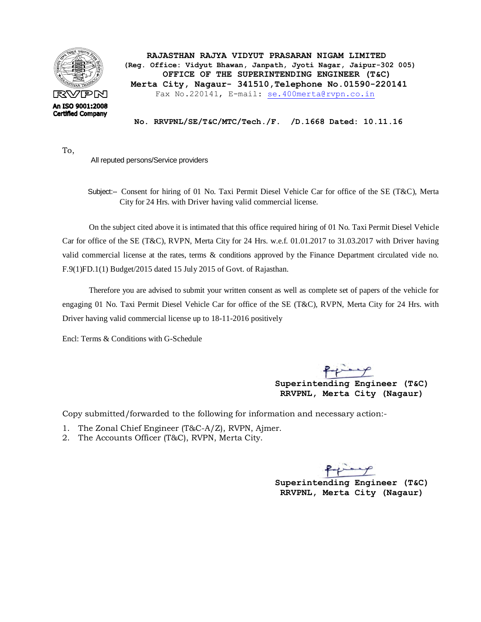

To,

 **RAJASTHAN RAJYA VIDYUT PRASARAN NIGAM LIMITED (Reg. Office: Vidyut Bhawan, Janpath, Jyoti Nagar, Jaipur-302 005) OFFICE OF THE SUPERINTENDING ENGINEER (T&C) Merta City, Nagaur- 341510,Telephone No.01590-220141** Fax No.220141, E-mail: [se.400merta@rvpn.co.in](mailto:se.400merta@rvpn.co.in)

 **No. RRVPNL/SE/T&C/MTC/Tech./F. /D.1668 Dated: 10.11.16**

All reputed persons/Service providers

 Subject:-- Consent for hiring of 01 No. Taxi Permit Diesel Vehicle Car for office of the SE (T&C), Merta City for 24 Hrs. with Driver having valid commercial license.

On the subject cited above it is intimated that this office required hiring of 01 No. Taxi Permit Diesel Vehicle Car for office of the SE (T&C), RVPN, Merta City for 24 Hrs. w.e.f. 01.01.2017 to 31.03.2017 with Driver having valid commercial license at the rates, terms & conditions approved by the Finance Department circulated vide no. F.9(1)FD.1(1) Budget/2015 dated 15 July 2015 of Govt. of Rajasthan.

Therefore you are advised to submit your written consent as well as complete set of papers of the vehicle for engaging 01 No. Taxi Permit Diesel Vehicle Car for office of the SE (T&C), RVPN, Merta City for 24 Hrs. with Driver having valid commercial license up to 18-11-2016 positively

Encl: Terms & Conditions with G-Schedule

 **Superintending Engineer (T&C) RRVPNL, Merta City (Nagaur)**

Copy submitted/forwarded to the following for information and necessary action:-

- 1. The Zonal Chief Engineer (T&C-A/Z), RVPN, Ajmer.
- 2. The Accounts Officer (T&C), RVPN, Merta City.

 **Superintending Engineer (T&C) RRVPNL, Merta City (Nagaur)**